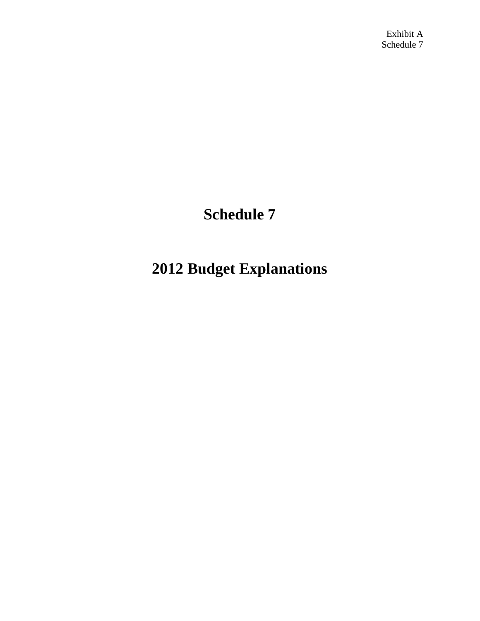Exhibit A Schedule 7

# **Schedule 7**

# **2012 Budget Explanations**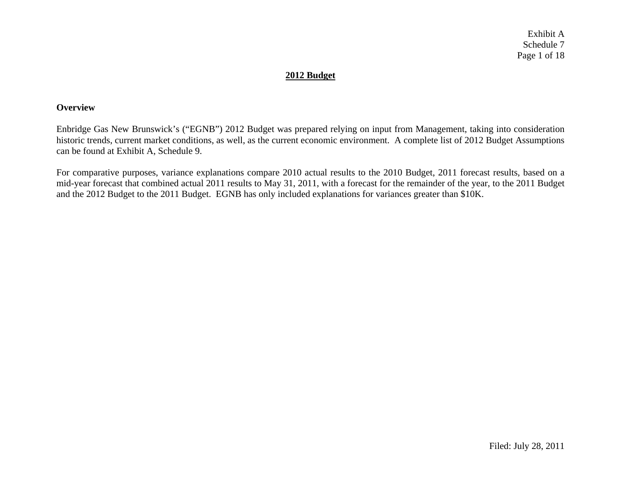Exhibit A Schedule 7 Page 1 of 18

# **2012 Budget**

#### **Overview**

Enbridge Gas New Brunswick's ("EGNB") 2012 Budget was prepared relying on input from Management, taking into consideration historic trends, current market conditions, as well, as the current economic environment. A complete list of 2012 Budget Assumptions can be found at Exhibit A, Schedule 9.

For comparative purposes, variance explanations compare 2010 actual results to the 2010 Budget, 2011 forecast results, based on a mid-year forecast that combined actual 2011 results to May 31, 2011, with a forecast for the remainder of the year, to the 2011 Budget and the 2012 Budget to the 2011 Budget. EGNB has only included explanations for variances greater than \$10K.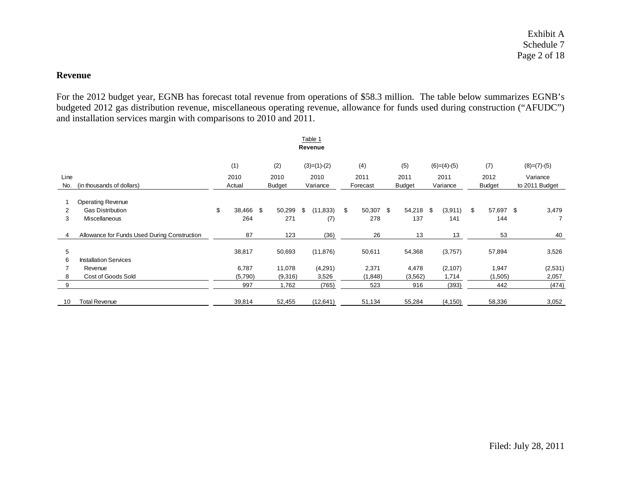Exhibit A Schedule 7 Page 2 of 18

#### **Revenue**

For the 2012 budget year, EGNB has forecast total revenue from operations of \$58.3 million. The table below summarizes EGNB's budgeted 2012 gas distribution revenue, miscellaneous operating revenue, allowance for funds used during construction ("AFUDC") and installation services margin with comparisons to 2010 and 2011.

| Table 1<br>Revenue |                                              |      |           |      |               |     |               |    |           |      |               |      |               |                 |          |                |
|--------------------|----------------------------------------------|------|-----------|------|---------------|-----|---------------|----|-----------|------|---------------|------|---------------|-----------------|----------|----------------|
|                    |                                              |      | (1)       |      | (2)           |     | $(3)=(1)-(2)$ |    | (4)       |      | (5)           |      | $(6)=(4)-(5)$ | (7)             |          | $(8)=(7)-(5)$  |
| Line               |                                              | 2010 |           | 2010 |               |     | 2011<br>2010  |    |           | 2011 |               | 2011 | 2012          |                 | Variance |                |
| No.                | (in thousands of dollars)                    |      | Actual    |      | <b>Budget</b> |     | Variance      |    | Forecast  |      | <b>Budget</b> |      | Variance      | <b>Budget</b>   |          | to 2011 Budget |
|                    | <b>Operating Revenue</b>                     |      |           |      |               |     |               |    |           |      |               |      |               |                 |          |                |
| 2                  | <b>Gas Distribution</b>                      | \$   | 38,466 \$ |      | 50,299        | \$. | (11, 833)     | \$ | 50,307 \$ |      | 54,218 \$     |      | (3,911)       | \$<br>57,697 \$ |          | 3,479          |
| 3                  | Miscellaneous                                |      | 264       |      | 271           |     | (7)           |    | 278       |      | 137           |      | 141           | 144             |          | $\overline{7}$ |
|                    | Allowance for Funds Used During Construction |      | 87        |      | 123           |     | (36)          |    | 26        |      | 13            |      | 13            | 53              |          | 40             |
| 5                  |                                              |      | 38,817    |      | 50,693        |     | (11, 876)     |    | 50,611    |      | 54,368        |      | (3,757)       | 57,894          |          | 3,526          |
| 6                  | <b>Installation Services</b>                 |      |           |      |               |     |               |    |           |      |               |      |               |                 |          |                |
|                    | Revenue                                      |      | 6,787     |      | 11,078        |     | (4,291)       |    | 2,371     |      | 4,478         |      | (2,107)       | 1,947           |          | (2,531)        |
| 8                  | Cost of Goods Sold                           |      | (5,790)   |      | (9,316)       |     | 3,526         |    | (1,848)   |      | (3, 562)      |      | 1,714         | (1,505)         |          | 2,057          |
| 9                  |                                              |      | 997       |      | 1,762         |     | (765)         |    | 523       |      | 916           |      | (393)         | 442             |          | (474)          |
| 10                 | <b>Total Revenue</b>                         |      | 39,814    |      | 52,455        |     | (12, 641)     |    | 51,134    |      | 55,284        |      | (4, 150)      | 58,336          |          | 3,052          |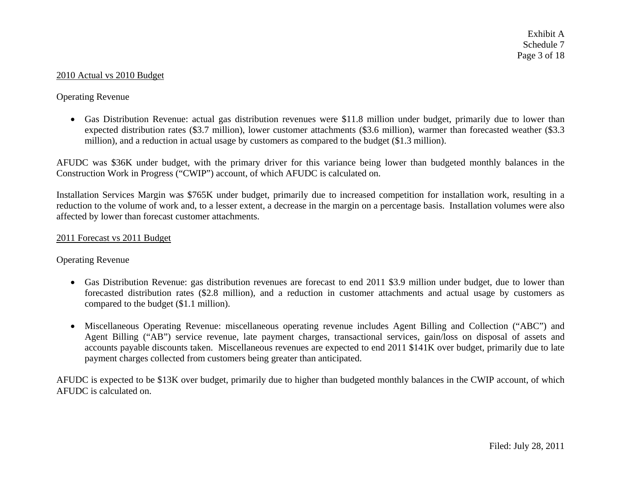#### 2010 Actual vs 2010 Budget

# Operating Revenue

• Gas Distribution Revenue: actual gas distribution revenues were \$11.8 million under budget, primarily due to lower than expected distribution rates (\$3.7 million), lower customer attachments (\$3.6 million), warmer than forecasted weather (\$3.3 million), and a reduction in actual usage by customers as compared to the budget (\$1.3 million).

AFUDC was \$36K under budget, with the primary driver for this variance being lower than budgeted monthly balances in the Construction Work in Progress ("CWIP") account, of which AFUDC is calculated on.

Installation Services Margin was \$765K under budget, primarily due to increased competition for installation work, resulting in a reduction to the volume of work and, to a lesser extent, a decrease in the margin on a percentage basis. Installation volumes were also affected by lower than forecast customer attachments.

#### 2011 Forecast vs 2011 Budget

#### Operating Revenue

- Gas Distribution Revenue: gas distribution revenues are forecast to end 2011 \$3.9 million under budget, due to lower than forecasted distribution rates (\$2.8 million), and a reduction in customer attachments and actual usage by customers as compared to the budget (\$1.1 million).
- Miscellaneous Operating Revenue: miscellaneous operating revenue includes Agent Billing and Collection ("ABC") and Agent Billing ("AB") service revenue, late payment charges, transactional services, gain/loss on disposal of assets and accounts payable discounts taken. Miscellaneous revenues are expected to end 2011 \$141K over budget, primarily due to late payment charges collected from customers being greater than anticipated.

AFUDC is expected to be \$13K over budget, primarily due to higher than budgeted monthly balances in the CWIP account, of which AFUDC is calculated on.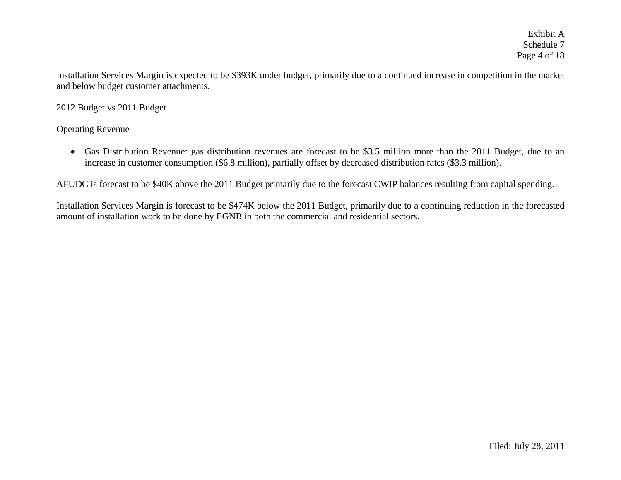Installation Services Margin is expected to be \$393K under budget, primarily due to a continued increase in competition in the market and below budget customer attachments.

# 2012 Budget vs 2011 Budget

# Operating Revenue

• Gas Distribution Revenue: gas distribution revenues are forecast to be \$3.5 million more than the 2011 Budget, due to an increase in customer consumption (\$6.8 million), partially offset by decreased distribution rates (\$3.3 million).

AFUDC is forecast to be \$40K above the 2011 Budget primarily due to the forecast CWIP balances resulting from capital spending.

Installation Services Margin is forecast to be \$474K below the 2011 Budget, primarily due to a continuing reduction in the forecasted amount of installation work to be done by EGNB in both the commercial and residential sectors.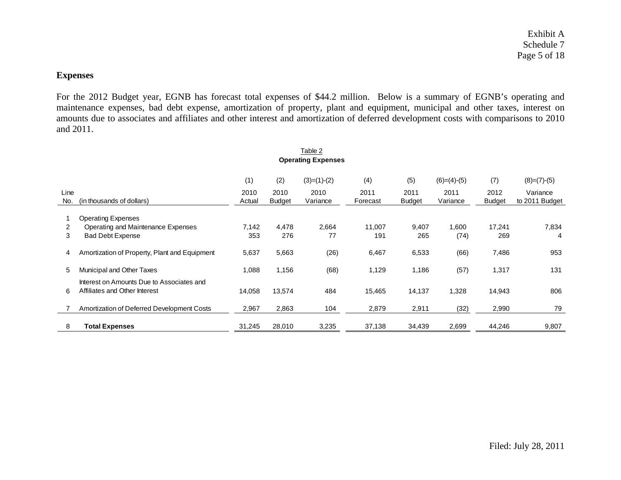# **Expenses**

For the 2012 Budget year, EGNB has forecast total expenses of \$44.2 million. Below is a summary of EGNB's operating and maintenance expenses, bad debt expense, amortization of property, plant and equipment, municipal and other taxes, interest on amounts due to associates and affiliates and other interest and amortization of deferred development costs with comparisons to 2010 and 2011.

|             | Table 2                                                                            |                |                       |                  |                  |                       |                  |                       |                            |  |  |  |
|-------------|------------------------------------------------------------------------------------|----------------|-----------------------|------------------|------------------|-----------------------|------------------|-----------------------|----------------------------|--|--|--|
|             | <b>Operating Expenses</b>                                                          |                |                       |                  |                  |                       |                  |                       |                            |  |  |  |
|             | (2)<br>$(3)=(1)-(2)$<br>(4)<br>(5)<br>(1)<br>$(6)=(4)-(5)$<br>(7)<br>$(8)=(7)-(5)$ |                |                       |                  |                  |                       |                  |                       |                            |  |  |  |
| Line<br>No. | (in thousands of dollars)                                                          | 2010<br>Actual | 2010<br><b>Budget</b> | 2010<br>Variance | 2011<br>Forecast | 2011<br><b>Budget</b> | 2011<br>Variance | 2012<br><b>Budget</b> | Variance<br>to 2011 Budget |  |  |  |
|             | <b>Operating Expenses</b>                                                          |                |                       |                  |                  |                       |                  |                       |                            |  |  |  |
| 2           | Operating and Maintenance Expenses                                                 | 7,142          | 4,478                 | 2,664            | 11,007           | 9,407                 | 1,600            | 17,241                | 7,834                      |  |  |  |
| 3           | <b>Bad Debt Expense</b>                                                            | 353            | 276                   | 77               | 191              | 265                   | (74)             | 269                   | 4                          |  |  |  |
| 4           | Amortization of Property, Plant and Equipment                                      | 5,637          | 5,663                 | (26)             | 6,467            | 6,533                 | (66)             | 7,486                 | 953                        |  |  |  |
| 5           | Municipal and Other Taxes                                                          | 1,088          | 1,156                 | (68)             | 1,129            | 1,186                 | (57)             | 1,317                 | 131                        |  |  |  |
| 6           | Interest on Amounts Due to Associates and<br>Affiliates and Other Interest         | 14,058         | 13,574                | 484              | 15,465           | 14,137                | 1,328            | 14,943                | 806                        |  |  |  |
|             | Amortization of Deferred Development Costs                                         | 2,967          | 2,863                 | 104              | 2,879            | 2,911                 | (32)             | 2,990                 | 79                         |  |  |  |
| 8           | <b>Total Expenses</b>                                                              | 31,245         | 28,010                | 3,235            | 37,138           | 34,439                | 2,699            | 44,246                | 9,807                      |  |  |  |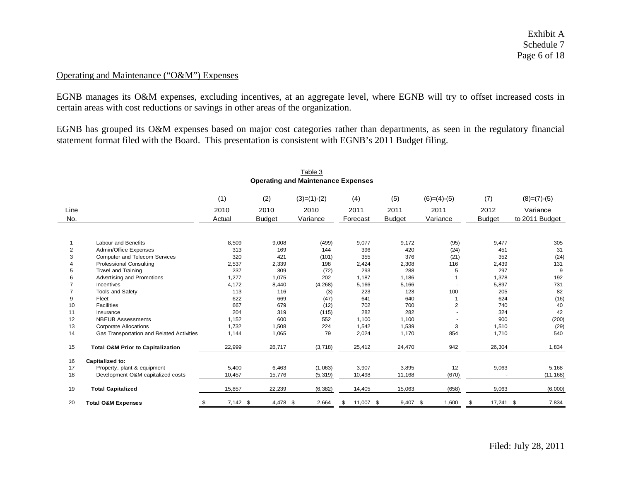Exhibit A Schedule 7 Page 6 of 18

# Operating and Maintenance ("O&M") Expenses

EGNB manages its O&M expenses, excluding incentives, at an aggregate level, where EGNB will try to offset increased costs in certain areas with cost reductions or savings in other areas of the organization.

EGNB has grouped its O&M expenses based on major cost categories rather than departments, as seen in the regulatory financial statement format filed with the Board. This presentation is consistent with EGNB's 2011 Budget filing.

|                |                                              |                  |               | <b>Operating and Maintenance Expenses</b> |                 |               |                |                  |                |
|----------------|----------------------------------------------|------------------|---------------|-------------------------------------------|-----------------|---------------|----------------|------------------|----------------|
|                |                                              | (1)              | (2)           | $(3)=(1)-(2)$                             | (4)             | (5)           | $(6)=(4)-(5)$  | (7)              | $(8)=(7)-(5)$  |
| Line           |                                              | 2010             | 2010          | 2010                                      | 2011            | 2011          | 2011           | 2012             | Variance       |
| No.            |                                              | Actual           | <b>Budget</b> | Variance                                  | Forecast        | <b>Budget</b> | Variance       | <b>Budget</b>    | to 2011 Budget |
|                |                                              |                  |               |                                           |                 |               |                |                  |                |
|                | <b>Labour and Benefits</b>                   | 8,509            | 9,008         | (499)                                     | 9,077           | 9,172         | (95)           | 9,477            | 305            |
| $\overline{2}$ | Admin/Office Expenses                        | 313              | 169           | 144                                       | 396             | 420           | (24)           | 451              | 31             |
| 3              | <b>Computer and Telecom Services</b>         | 320              | 421           | (101)                                     | 355             | 376           | (21)           | 352              | (24)           |
|                | <b>Professional Consulting</b>               | 2,537            | 2,339         | 198                                       | 2,424           | 2,308         | 116            | 2,439            | 131            |
| 5              | Travel and Training                          | 237              | 309           | (72)                                      | 293             | 288           | 5              | 297              | 9              |
|                | Advertising and Promotions                   | 1,277            | 1,075         | 202                                       | 1,187           | 1,186         |                | 1,378            | 192            |
|                | Incentives                                   | 4.172            | 8,440         | (4, 268)                                  | 5,166           | 5,166         |                | 5,897            | 731            |
| 9              | Tools and Safety                             | 113<br>622       | 116           | (3)                                       | 223<br>641      | 123<br>640    | 100            | 205<br>624       | 82             |
|                | Fleet<br><b>Facilities</b>                   | 667              | 669<br>679    | (47)                                      |                 | 700           |                | 740              | (16)           |
| 10             |                                              | 204              | 319           | (12)                                      | 702<br>282      | 282           | $\overline{2}$ | 324              | 40<br>42       |
| 11<br>12       | Insurance<br><b>NBEUB Assessments</b>        | 1,152            | 600           | (115)<br>552                              | 1,100           | 1,100         |                | 900              | (200)          |
| 13             | <b>Corporate Allocations</b>                 | 1,732            | 1,508         | 224                                       | 1,542           | 1,539         | 3              | 1,510            | (29)           |
| 14             | Gas Transportation and Related Activities    | 1,144            | 1,065         | 79                                        | 2,024           | 1,170         | 854            | 1,710            | 540            |
|                |                                              |                  |               |                                           |                 |               |                |                  |                |
| 15             | <b>Total O&amp;M Prior to Capitalization</b> | 22,999           | 26,717        | (3,718)                                   | 25,412          | 24,470        | 942            | 26,304           | 1,834          |
| 16             | Capitalized to:                              |                  |               |                                           |                 |               |                |                  |                |
| 17             | Property, plant & equipment                  | 5,400            | 6,463         | (1,063)                                   | 3,907           | 3,895         | 12             | 9,063            | 5,168          |
| 18             | Development O&M capitalized costs            | 10,457           | 15,776        | (5, 319)                                  | 10,498          | 11,168        | (670)          |                  | (11, 168)      |
| 19             | <b>Total Capitalized</b>                     | 15,857           | 22,239        | (6, 382)                                  | 14,405          | 15,063        | (658)          | 9,063            | (6,000)        |
| 20             | <b>Total O&amp;M Expenses</b>                | $7,142$ \$<br>\$ | 4,478 \$      | 2,664                                     | 11,007 \$<br>\$ | $9,407$ \$    | 1,600          | 17,241 \$<br>-\$ | 7,834          |

# Table 3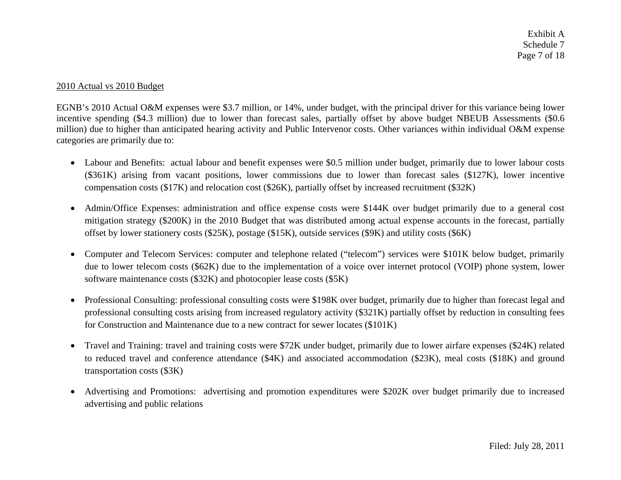Exhibit A Schedule 7 Page 7 of 18

#### 2010 Actual vs 2010 Budget

EGNB's 2010 Actual O&M expenses were \$3.7 million, or 14%, under budget, with the principal driver for this variance being lower incentive spending (\$4.3 million) due to lower than forecast sales, partially offset by above budget NBEUB Assessments (\$0.6) million) due to higher than anticipated hearing activity and Public Intervenor costs. Other variances within individual O&M expense categories are primarily due to:

- Labour and Benefits: actual labour and benefit expenses were \$0.5 million under budget, primarily due to lower labour costs (\$361K) arising from vacant positions, lower commissions due to lower than forecast sales (\$127K), lower incentive compensation costs (\$17K) and relocation cost (\$26K), partially offset by increased recruitment (\$32K)
- Admin/Office Expenses: administration and office expense costs were \$144K over budget primarily due to a general cost mitigation strategy (\$200K) in the 2010 Budget that was distributed among actual expense accounts in the forecast, partially offset by lower stationery costs (\$25K), postage (\$15K), outside services (\$9K) and utility costs (\$6K)
- Computer and Telecom Services: computer and telephone related ("telecom") services were \$101K below budget, primarily due to lower telecom costs (\$62K) due to the implementation of a voice over internet protocol (VOIP) phone system, lower software maintenance costs (\$32K) and photocopier lease costs (\$5K)
- Professional Consulting: professional consulting costs were \$198K over budget, primarily due to higher than forecast legal and professional consulting costs arising from increased regulatory activity (\$321K) partially offset by reduction in consulting fees for Construction and Maintenance due to a new contract for sewer locates (\$101K)
- • Travel and Training: travel and training costs were \$72K under budget, primarily due to lower airfare expenses (\$24K) related to reduced travel and conference attendance (\$4K) and associated accommodation (\$23K), meal costs (\$18K) and ground transportation costs (\$3K)
- • Advertising and Promotions: advertising and promotion expenditures were \$202K over budget primarily due to increased advertising and public relations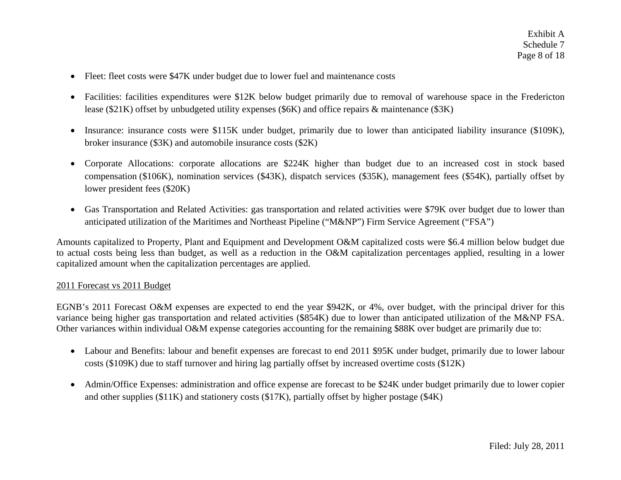- Fleet: fleet costs were \$47K under budget due to lower fuel and maintenance costs
- Facilities: facilities expenditures were \$12K below budget primarily due to removal of warehouse space in the Fredericton lease (\$21K) offset by unbudgeted utility expenses (\$6K) and office repairs & maintenance (\$3K)
- $\bullet$  Insurance: insurance costs were \$115K under budget, primarily due to lower than anticipated liability insurance (\$109K), broker insurance (\$3K) and automobile insurance costs (\$2K)
- Corporate Allocations: corporate allocations are \$224K higher than budget due to an increased cost in stock based compensation (\$106K), nomination services (\$43K), dispatch services (\$35K), management fees (\$54K), partially offset by lower president fees (\$20K)
- Gas Transportation and Related Activities: gas transportation and related activities were \$79K over budget due to lower than anticipated utilization of the Maritimes and Northeast Pipeline ("M&NP") Firm Service Agreement ("FSA")

Amounts capitalized to Property, Plant and Equipment and Development O&M capitalized costs were \$6.4 million below budget due to actual costs being less than budget, as well as a reduction in the O&M capitalization percentages applied, resulting in a lower capitalized amount when the capitalization percentages are applied.

#### 2011 Forecast vs 2011 Budget

EGNB's 2011 Forecast O&M expenses are expected to end the year \$942K, or 4%, over budget, with the principal driver for this variance being higher gas transportation and related activities (\$854K) due to lower than anticipated utilization of the M&NP FSA. Other variances within individual O&M expense categories accounting for the remaining \$88K over budget are primarily due to:

- Labour and Benefits: labour and benefit expenses are forecast to end 2011 \$95K under budget, primarily due to lower labour costs (\$109K) due to staff turnover and hiring lag partially offset by increased overtime costs (\$12K)
- $\bullet$  Admin/Office Expenses: administration and office expense are forecast to be \$24K under budget primarily due to lower copier and other supplies (\$11K) and stationery costs (\$17K), partially offset by higher postage (\$4K)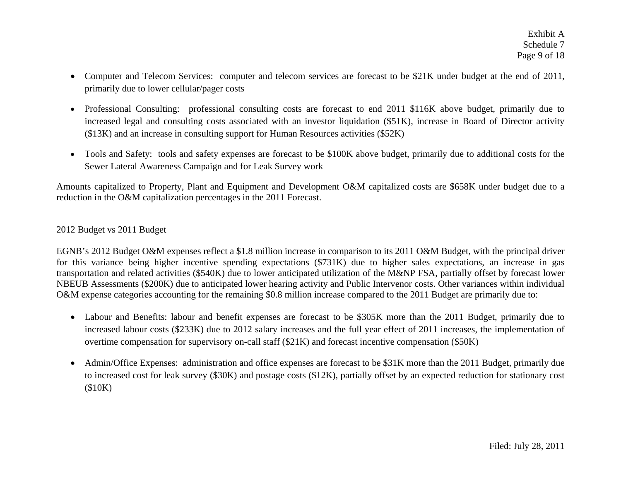- • Computer and Telecom Services: computer and telecom services are forecast to be \$21K under budget at the end of 2011, primarily due to lower cellular/pager costs
- Professional Consulting: professional consulting costs are forecast to end 2011 \$116K above budget, primarily due to increased legal and consulting costs associated with an investor liquidation (\$51K), increase in Board of Director activity (\$13K) and an increase in consulting support for Human Resources activities (\$52K)
- • Tools and Safety: tools and safety expenses are forecast to be \$100K above budget, primarily due to additional costs for the Sewer Lateral Awareness Campaign and for Leak Survey work

Amounts capitalized to Property, Plant and Equipment and Development O&M capitalized costs are \$658K under budget due to a reduction in the O&M capitalization percentages in the 2011 Forecast.

# 2012 Budget vs 2011 Budget

EGNB's 2012 Budget O&M expenses reflect a \$1.8 million increase in comparison to its 2011 O&M Budget, with the principal driver for this variance being higher incentive spending expectations (\$731K) due to higher sales expectations, an increase in gas transportation and related activities (\$540K) due to lower anticipated utilization of the M&NP FSA, partially offset by forecast lower NBEUB Assessments (\$200K) due to anticipated lower hearing activity and Public Intervenor costs. Other variances within individual O&M expense categories accounting for the remaining \$0.8 million increase compared to the 2011 Budget are primarily due to:

- Labour and Benefits: labour and benefit expenses are forecast to be \$305K more than the 2011 Budget, primarily due to increased labour costs (\$233K) due to 2012 salary increases and the full year effect of 2011 increases, the implementation of overtime compensation for supervisory on-call staff (\$21K) and forecast incentive compensation (\$50K)
- Admin/Office Expenses: administration and office expenses are forecast to be \$31K more than the 2011 Budget, primarily due to increased cost for leak survey (\$30K) and postage costs (\$12K), partially offset by an expected reduction for stationary cost (\$10K)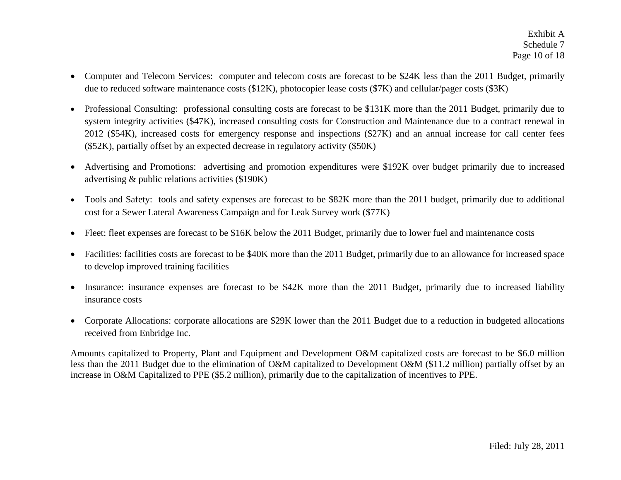- $\bullet$  Computer and Telecom Services: computer and telecom costs are forecast to be \$24K less than the 2011 Budget, primarily due to reduced software maintenance costs (\$12K), photocopier lease costs (\$7K) and cellular/pager costs (\$3K)
- $\bullet$  Professional Consulting: professional consulting costs are forecast to be \$131K more than the 2011 Budget, primarily due to system integrity activities (\$47K), increased consulting costs for Construction and Maintenance due to a contract renewal in 2012 (\$54K), increased costs for emergency response and inspections (\$27K) and an annual increase for call center fees (\$52K), partially offset by an expected decrease in regulatory activity (\$50K)
- $\bullet$  Advertising and Promotions: advertising and promotion expenditures were \$192K over budget primarily due to increased advertising & public relations activities (\$190K)
- Tools and Safety: tools and safety expenses are forecast to be \$82K more than the 2011 budget, primarily due to additional cost for a Sewer Lateral Awareness Campaign and for Leak Survey work (\$77K)
- $\bullet$ Fleet: fleet expenses are forecast to be \$16K below the 2011 Budget, primarily due to lower fuel and maintenance costs
- Facilities: facilities costs are forecast to be \$40K more than the 2011 Budget, primarily due to an allowance for increased space to develop improved training facilities
- $\bullet$  Insurance: insurance expenses are forecast to be \$42K more than the 2011 Budget, primarily due to increased liability insurance costs
- $\bullet$  Corporate Allocations: corporate allocations are \$29K lower than the 2011 Budget due to a reduction in budgeted allocations received from Enbridge Inc.

Amounts capitalized to Property, Plant and Equipment and Development O&M capitalized costs are forecast to be \$6.0 million less than the 2011 Budget due to the elimination of O&M capitalized to Development O&M (\$11.2 million) partially offset by an increase in O&M Capitalized to PPE (\$5.2 million), primarily due to the capitalization of incentives to PPE.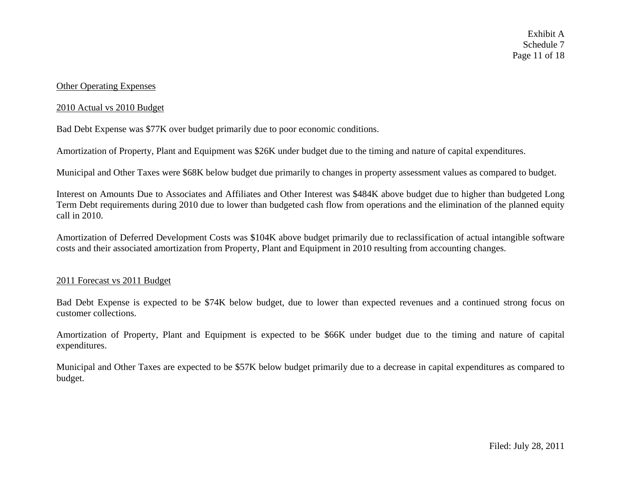#### Other Operating Expenses

#### 2010 Actual vs 2010 Budget

Bad Debt Expense was \$77K over budget primarily due to poor economic conditions.

Amortization of Property, Plant and Equipment was \$26K under budget due to the timing and nature of capital expenditures.

Municipal and Other Taxes were \$68K below budget due primarily to changes in property assessment values as compared to budget.

Interest on Amounts Due to Associates and Affiliates and Other Interest was \$484K above budget due to higher than budgeted Long Term Debt requirements during 2010 due to lower than budgeted cash flow from operations and the elimination of the planned equity call in 2010.

Amortization of Deferred Development Costs was \$104K above budget primarily due to reclassification of actual intangible software costs and their associated amortization from Property, Plant and Equipment in 2010 resulting from accounting changes.

#### 2011 Forecast vs 2011 Budget

Bad Debt Expense is expected to be \$74K below budget, due to lower than expected revenues and a continued strong focus on customer collections.

Amortization of Property, Plant and Equipment is expected to be \$66K under budget due to the timing and nature of capital expenditures.

Municipal and Other Taxes are expected to be \$57K below budget primarily due to a decrease in capital expenditures as compared to budget.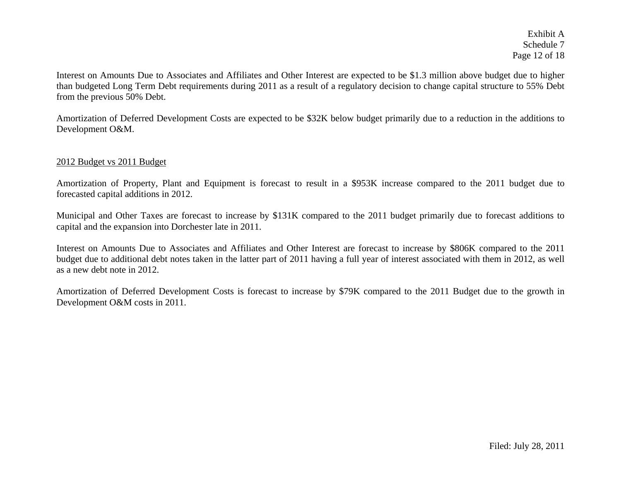Exhibit A Schedule 7 Page 12 of 18

Interest on Amounts Due to Associates and Affiliates and Other Interest are expected to be \$1.3 million above budget due to higher than budgeted Long Term Debt requirements during 2011 as a result of a regulatory decision to change capital structure to 55% Debt from the previous 50% Debt.

Amortization of Deferred Development Costs are expected to be \$32K below budget primarily due to a reduction in the additions to Development O&M.

#### 2012 Budget vs 2011 Budget

Amortization of Property, Plant and Equipment is forecast to result in a \$953K increase compared to the 2011 budget due to forecasted capital additions in 2012.

Municipal and Other Taxes are forecast to increase by \$131K compared to the 2011 budget primarily due to forecast additions to capital and the expansion into Dorchester late in 2011.

Interest on Amounts Due to Associates and Affiliates and Other Interest are forecast to increase by \$806K compared to the 2011 budget due to additional debt notes taken in the latter part of 2011 having a full year of interest associated with them in 2012, as well as a new debt note in 2012.

Amortization of Deferred Development Costs is forecast to increase by \$79K compared to the 2011 Budget due to the growth in Development O&M costs in 2011.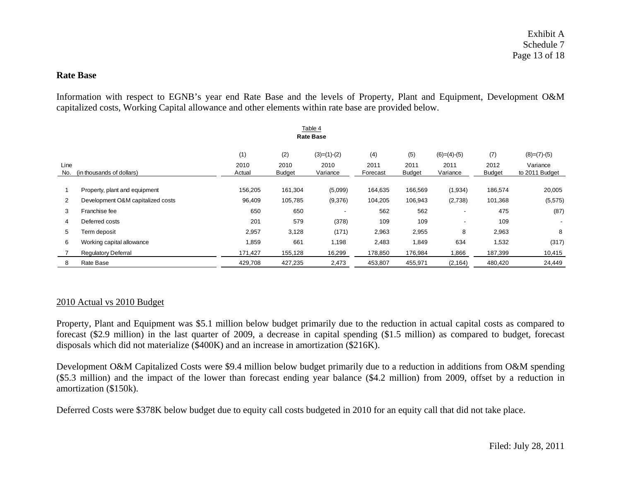# **Rate Base**

Information with respect to EGNB's year end Rate Base and the levels of Property, Plant and Equipment, Development O&M capitalized costs, Working Capital allowance and other elements within rate base are provided below.

|                                          | Table 4<br><b>Rate Base</b>       |                |                       |                  |                  |                       |                          |                       |                            |  |  |  |
|------------------------------------------|-----------------------------------|----------------|-----------------------|------------------|------------------|-----------------------|--------------------------|-----------------------|----------------------------|--|--|--|
|                                          |                                   |                |                       |                  |                  |                       |                          |                       |                            |  |  |  |
|                                          |                                   | (1)            | (2)                   | $(3)=(1)-(2)$    | (4)              | (5)                   | $(6)=(4)-(5)$            | (7)                   | $(8)=(7)-(5)$              |  |  |  |
| Line<br>(in thousands of dollars)<br>No. |                                   | 2010<br>Actual | 2010<br><b>Budget</b> | 2010<br>Variance | 2011<br>Forecast | 2011<br><b>Budget</b> | 2011<br>Variance         | 2012<br><b>Budget</b> | Variance<br>to 2011 Budget |  |  |  |
|                                          |                                   |                |                       |                  |                  |                       |                          |                       |                            |  |  |  |
|                                          | Property, plant and equipment     | 156,205        | 161,304               | (5,099)          | 164,635          | 166,569               | (1,934)                  | 186,574               | 20,005                     |  |  |  |
| $\overline{2}$                           | Development O&M capitalized costs | 96,409         | 105,785               | (9,376)          | 104,205          | 106,943               | (2,738)                  | 101,368               | (5, 575)                   |  |  |  |
| 3                                        | Franchise fee                     | 650            | 650                   |                  | 562              | 562                   | $\overline{\phantom{a}}$ | 475                   | (87)                       |  |  |  |
| 4                                        | Deferred costs                    | 201            | 579                   | (378)            | 109              | 109                   |                          | 109                   | ۰.                         |  |  |  |
| 5                                        | Term deposit                      | 2,957          | 3,128                 | (171)            | 2,963            | 2,955                 | 8                        | 2,963                 | 8                          |  |  |  |
| 6                                        | Working capital allowance         | 1,859          | 661                   | 1,198            | 2,483            | 1,849                 | 634                      | 1,532                 | (317)                      |  |  |  |
|                                          | <b>Regulatory Deferral</b>        | 171,427        | 155,128               | 16,299           | 178,850          | 176,984               | 866.                     | 187,399               | 10,415                     |  |  |  |
| 8                                        | Rate Base                         | 429,708        | 427,235               | 2,473            | 453,807          | 455,971               | (2, 164)                 | 480,420               | 24,449                     |  |  |  |

#### 2010 Actual vs 2010 Budget

Property, Plant and Equipment was \$5.1 million below budget primarily due to the reduction in actual capital costs as compared to forecast (\$2.9 million) in the last quarter of 2009, a decrease in capital spending (\$1.5 million) as compared to budget, forecast disposals which did not materialize (\$400K) and an increase in amortization (\$216K).

Development O&M Capitalized Costs were \$9.4 million below budget primarily due to a reduction in additions from O&M spending (\$5.3 million) and the impact of the lower than forecast ending year balance (\$4.2 million) from 2009, offset by a reduction in amortization (\$150k).

Deferred Costs were \$378K below budget due to equity call costs budgeted in 2010 for an equity call that did not take place.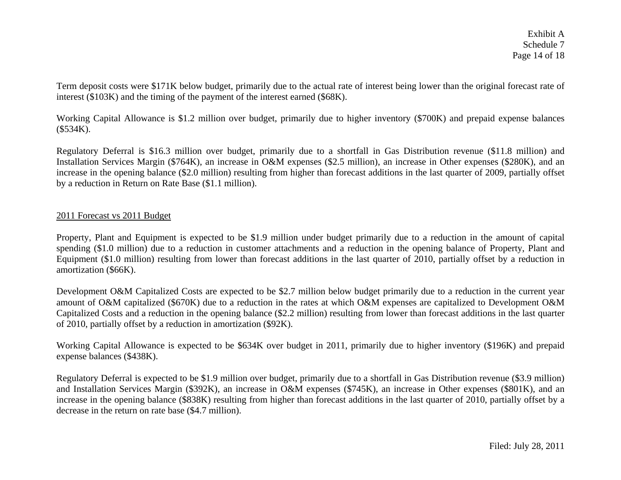Term deposit costs were \$171K below budget, primarily due to the actual rate of interest being lower than the original forecast rate of interest (\$103K) and the timing of the payment of the interest earned (\$68K).

Working Capital Allowance is \$1.2 million over budget, primarily due to higher inventory (\$700K) and prepaid expense balances (\$534K).

Regulatory Deferral is \$16.3 million over budget, primarily due to a shortfall in Gas Distribution revenue (\$11.8 million) and Installation Services Margin (\$764K), an increase in O&M expenses (\$2.5 million), an increase in Other expenses (\$280K), and an increase in the opening balance (\$2.0 million) resulting from higher than forecast additions in the last quarter of 2009, partially offset by a reduction in Return on Rate Base (\$1.1 million).

# 2011 Forecast vs 2011 Budget

Property, Plant and Equipment is expected to be \$1.9 million under budget primarily due to a reduction in the amount of capital spending (\$1.0 million) due to a reduction in customer attachments and a reduction in the opening balance of Property, Plant and Equipment (\$1.0 million) resulting from lower than forecast additions in the last quarter of 2010, partially offset by a reduction in amortization (\$66K).

Development O&M Capitalized Costs are expected to be \$2.7 million below budget primarily due to a reduction in the current year amount of O&M capitalized (\$670K) due to a reduction in the rates at which O&M expenses are capitalized to Development O&M Capitalized Costs and a reduction in the opening balance (\$2.2 million) resulting from lower than forecast additions in the last quarter of 2010, partially offset by a reduction in amortization (\$92K).

Working Capital Allowance is expected to be \$634K over budget in 2011, primarily due to higher inventory (\$196K) and prepaid expense balances (\$438K).

Regulatory Deferral is expected to be \$1.9 million over budget, primarily due to a shortfall in Gas Distribution revenue (\$3.9 million) and Installation Services Margin (\$392K), an increase in O&M expenses (\$745K), an increase in Other expenses (\$801K), and an increase in the opening balance (\$838K) resulting from higher than forecast additions in the last quarter of 2010, partially offset by a decrease in the return on rate base (\$4.7 million).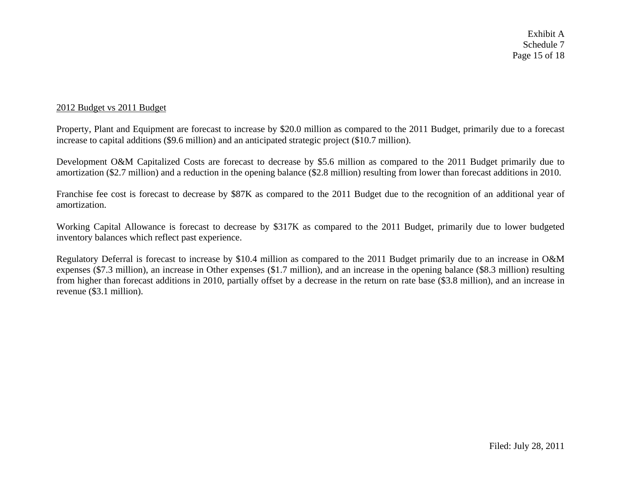# 2012 Budget vs 2011 Budget

Property, Plant and Equipment are forecast to increase by \$20.0 million as compared to the 2011 Budget, primarily due to a forecast increase to capital additions (\$9.6 million) and an anticipated strategic project (\$10.7 million).

Development O&M Capitalized Costs are forecast to decrease by \$5.6 million as compared to the 2011 Budget primarily due to amortization (\$2.7 million) and a reduction in the opening balance (\$2.8 million) resulting from lower than forecast additions in 2010.

Franchise fee cost is forecast to decrease by \$87K as compared to the 2011 Budget due to the recognition of an additional year of amortization.

Working Capital Allowance is forecast to decrease by \$317K as compared to the 2011 Budget, primarily due to lower budgeted inventory balances which reflect past experience.

Regulatory Deferral is forecast to increase by \$10.4 million as compared to the 2011 Budget primarily due to an increase in O&M expenses (\$7.3 million), an increase in Other expenses (\$1.7 million), and an increase in the opening balance (\$8.3 million) resulting from higher than forecast additions in 2010, partially offset by a decrease in the return on rate base (\$3.8 million), and an increase in revenue (\$3.1 million).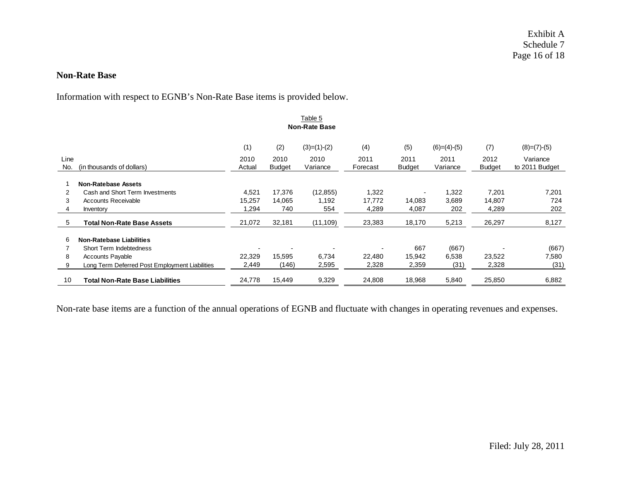#### **Non-Rate Base**

Information with respect to EGNB's Non-Rate Base items is provided below.

|      | Table 5                                        |        |               |               |          |               |               |               |                |  |  |  |
|------|------------------------------------------------|--------|---------------|---------------|----------|---------------|---------------|---------------|----------------|--|--|--|
|      | <b>Non-Rate Base</b>                           |        |               |               |          |               |               |               |                |  |  |  |
|      |                                                | (1)    | (2)           | $(3)=(1)-(2)$ | (4)      | (5)           | $(6)=(4)-(5)$ | (7)           | $(8)=(7)-(5)$  |  |  |  |
| Line |                                                | 2010   | 2010          | 2010          | 2011     | 2011          | 2011          | 2012          | Variance       |  |  |  |
| No.  | (in thousands of dollars)                      | Actual | <b>Budget</b> | Variance      | Forecast | <b>Budget</b> | Variance      | <b>Budget</b> | to 2011 Budget |  |  |  |
|      | <b>Non-Ratebase Assets</b>                     |        |               |               |          |               |               |               |                |  |  |  |
| 2    | Cash and Short Term Investments                | 4,521  | 17,376        | (12, 855)     | 1,322    |               | 1,322         | 7,201         | 7,201          |  |  |  |
| 3    | <b>Accounts Receivable</b>                     | 15,257 | 14,065        | 1,192         | 17,772   | 14,083        | 3,689         | 14,807        | 724            |  |  |  |
| 4    | Inventory                                      | 1,294  | 740           | 554           | 4,289    | 4,087         | 202           | 4,289         | 202            |  |  |  |
| 5    | <b>Total Non-Rate Base Assets</b>              | 21,072 | 32,181        | (11, 109)     | 23,383   | 18,170        | 5,213         | 26,297        | 8,127          |  |  |  |
| 6    | <b>Non-Ratebase Liabilities</b>                |        |               |               |          |               |               |               |                |  |  |  |
|      | Short Term Indebtedness                        |        |               |               |          | 667           | (667)         |               | (667)          |  |  |  |
| 8    | <b>Accounts Payable</b>                        | 22,329 | 15,595        | 6,734         | 22,480   | 15,942        | 6,538         | 23,522        | 7,580          |  |  |  |
| 9    | Long Term Deferred Post Employment Liabilities | 2,449  | (146)         | 2,595         | 2,328    | 2,359         | (31)          | 2,328         | (31)           |  |  |  |
| 10   | <b>Total Non-Rate Base Liabilities</b>         | 24,778 | 15,449        | 9,329         | 24,808   | 18,968        | 5,840         | 25,850        | 6,882          |  |  |  |

Non-rate base items are a function of the annual operations of EGNB and fluctuate with changes in operating revenues and expenses.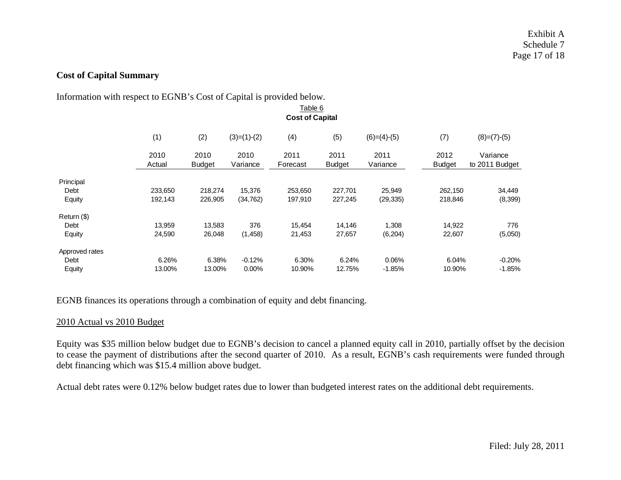# **Cost of Capital Summary**

#### Information with respect to EGNB's Cost of Capital is provided below.

|                | Table 6                                                           |                       |                  |                  |                       |                  |                       |                            |  |  |  |  |
|----------------|-------------------------------------------------------------------|-----------------------|------------------|------------------|-----------------------|------------------|-----------------------|----------------------------|--|--|--|--|
|                | <b>Cost of Capital</b>                                            |                       |                  |                  |                       |                  |                       |                            |  |  |  |  |
|                | (2)<br>(4)<br>(1)<br>$(3)=(1)-(2)$<br>(5)<br>$(6)=(4)-(5)$<br>(7) |                       |                  |                  |                       |                  |                       |                            |  |  |  |  |
|                | 2010<br>Actual                                                    | 2010<br><b>Budget</b> | 2010<br>Variance | 2011<br>Forecast | 2011<br><b>Budget</b> | 2011<br>Variance | 2012<br><b>Budget</b> | Variance<br>to 2011 Budget |  |  |  |  |
| Principal      |                                                                   |                       |                  |                  |                       |                  |                       |                            |  |  |  |  |
| Debt           | 233,650                                                           | 218,274               | 15,376           | 253,650          | 227,701               | 25,949           | 262,150               | 34,449                     |  |  |  |  |
| Equity         | 192,143                                                           | 226,905               | (34, 762)        | 197,910          | 227,245               | (29, 335)        | 218,846               | (8,399)                    |  |  |  |  |
| Return (\$)    |                                                                   |                       |                  |                  |                       |                  |                       |                            |  |  |  |  |
| Debt           | 13,959                                                            | 13,583                | 376              | 15,454           | 14,146                | 1,308            | 14,922                | 776                        |  |  |  |  |
| Equity         | 24,590                                                            | 26,048                | (1, 458)         | 21,453           | 27,657                | (6, 204)         | 22,607                | (5,050)                    |  |  |  |  |
| Approved rates |                                                                   |                       |                  |                  |                       |                  |                       |                            |  |  |  |  |
| Debt           | 6.26%                                                             | 6.38%                 | $-0.12%$         | 6.30%            | 6.24%                 | 0.06%            | 6.04%                 | $-0.20%$                   |  |  |  |  |
| Equity         | 13.00%                                                            | 13.00%                | $0.00\%$         | 10.90%           | 12.75%                | $-1.85%$         | 10.90%                | $-1.85%$                   |  |  |  |  |

EGNB finances its operations through a combination of equity and debt financing.

## 2010 Actual vs 2010 Budget

Equity was \$35 million below budget due to EGNB's decision to cancel a planned equity call in 2010, partially offset by the decision to cease the payment of distributions after the second quarter of 2010. As a result, EGNB's cash requirements were funded through debt financing which was \$15.4 million above budget.

Actual debt rates were 0.12% below budget rates due to lower than budgeted interest rates on the additional debt requirements.